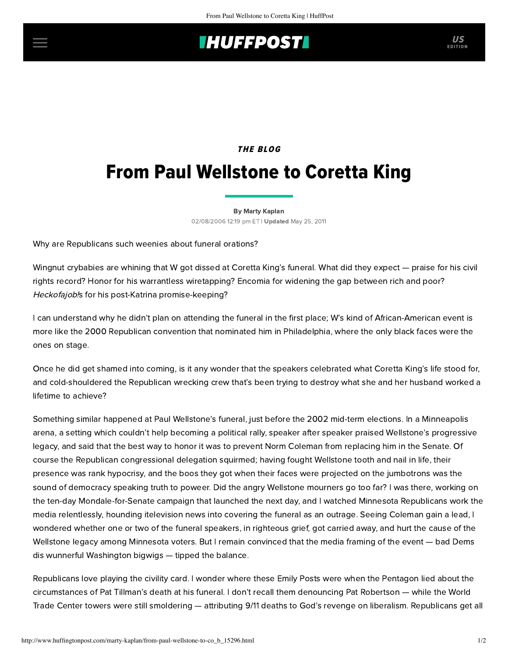## **INUFFPOSTI** US

## **THE BLOG**

# From Paul Wellstone to Coretta King

#### [By Marty Kaplan](http://www.huffingtonpost.com/author/marty-kaplan)

02/08/2006 12:19 pm ET | Updated May 25, 2011

Why are Republicans such weenies about funeral orations?

Wingnut crybabies are whining that W got dissed at Coretta King's funeral. What did they expect — praise for his civil rights record? Honor for his warrantless wiretapping? Encomia for widening the gap between rich and poor? Heckofajob!s for his post-Katrina promise-keeping?

I can understand why he didn't plan on attending the funeral in the first place; W's kind of African-American event is more like the 2000 Republican convention that nominated him in Philadelphia, where the only black faces were the ones on stage.

Once he did get shamed into coming, is it any wonder that the speakers celebrated what Coretta King's life stood for, and cold-shouldered the Republican wrecking crew that's been trying to destroy what she and her husband worked a lifetime to achieve?

Something similar happened at Paul Wellstone's funeral, just before the 2002 mid-term elections. In a Minneapolis arena, a setting which couldn't help becoming a political rally, speaker after speaker praised Wellstone's progressive legacy, and said that the best way to honor it was to prevent Norm Coleman from replacing him in the Senate. Of course the Republican congressional delegation squirmed; having fought Wellstone tooth and nail in life, their presence was rank hypocrisy, and the boos they got when their faces were projected on the jumbotrons was the sound of democracy speaking truth to poweer. Did the angry Wellstone mourners go too far? I was there, working on the ten-day Mondale-for-Senate campaign that launched the next day, and I watched Minnesota Republicans work the media relentlessly, hounding itelevision news into covering the funeral as an outrage. Seeing Coleman gain a lead, I wondered whether one or two of the funeral speakers, in righteous grief, got carried away, and hurt the cause of the Wellstone legacy among Minnesota voters. But I remain convinced that the media framing of the event — bad Dems dis wunnerful Washington bigwigs — tipped the balance.

Republicans love playing the civility card. I wonder where these Emily Posts were when the Pentagon lied about the circumstances of Pat Tillman's death at his funeral. I don't recall them denouncing Pat Robertson — while the World Trade Center towers were still smoldering — attributing 9/11 deaths to God's revenge on liberalism. Republicans get all